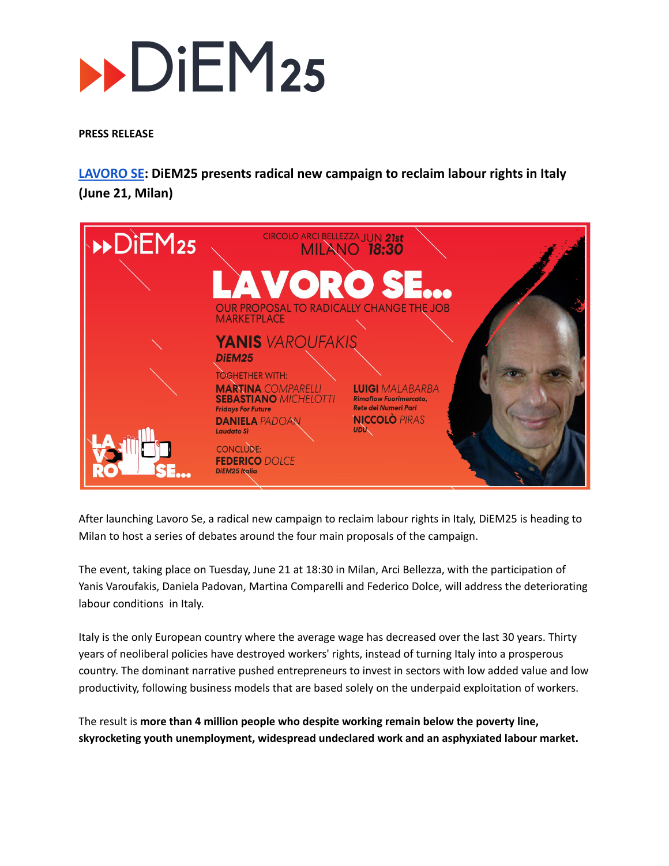# $\n **DiEM25**\n$

### **PRESS RELEASE**

**[LAVORO](https://lavoro-se.it/) SE: DiEM25 presents radical new campaign to reclaim labour rights in Italy (June 21, Milan)**



After launching Lavoro Se, a radical new campaign to reclaim labour rights in Italy, DiEM25 is heading to Milan to host a series of debates around the four main proposals of the campaign.

The event, taking place on Tuesday, June 21 at 18:30 in Milan, Arci Bellezza, with the participation of Yanis Varoufakis, Daniela Padovan, Martina Comparelli and Federico Dolce, will address the deteriorating labour conditions in Italy.

Italy is the only European country where the average wage has decreased over the last 30 years. Thirty years of neoliberal policies have destroyed workers' rights, instead of turning Italy into a prosperous country. The dominant narrative pushed entrepreneurs to invest in sectors with low added value and low productivity, following business models that are based solely on the underpaid exploitation of workers.

The result is **more than 4 million people who despite working remain below the poverty line, skyrocketing youth unemployment, widespread undeclared work and an asphyxiated labour market.**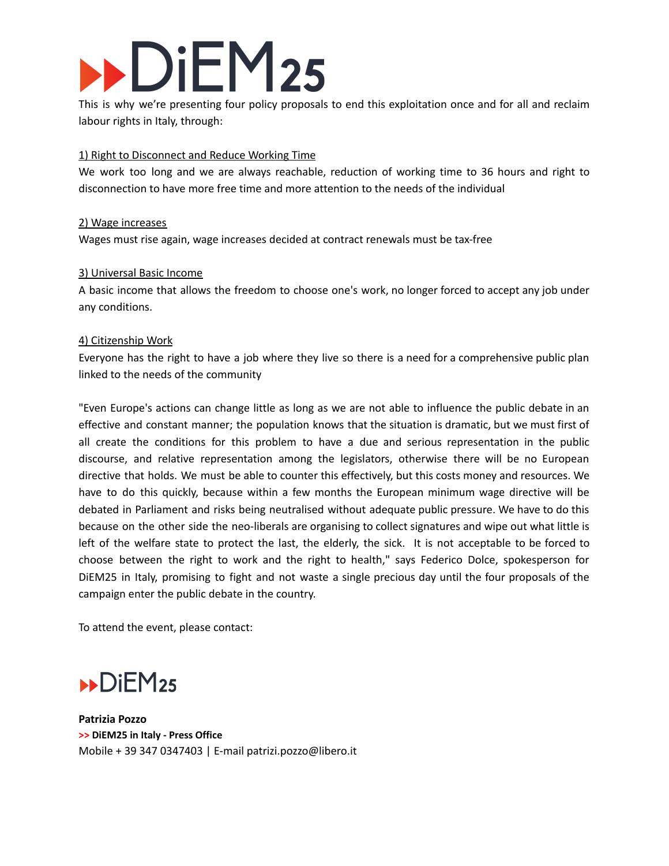# DiEM<sub>25</sub>

This is why we're presenting four policy proposals to end this exploitation once and for all and reclaim labour rights in Italy, through:

# 1) Right to Disconnect and Reduce Working Time

We work too long and we are always reachable, reduction of working time to 36 hours and right to disconnection to have more free time and more attention to the needs of the individual

## 2) Wage increases

Wages must rise again, wage increases decided at contract renewals must be tax-free

## 3) Universal Basic Income

A basic income that allows the freedom to choose one's work, no longer forced to accept any job under any conditions.

## 4) Citizenship Work

Everyone has the right to have a job where they live so there is a need for a comprehensive public plan linked to the needs of the community

"Even Europe's actions can change little as long as we are not able to influence the public debate in an effective and constant manner; the population knows that the situation is dramatic, but we must first of all create the conditions for this problem to have a due and serious representation in the public discourse, and relative representation among the legislators, otherwise there will be no European directive that holds. We must be able to counter this effectively, but this costs money and resources. We have to do this quickly, because within a few months the European minimum wage directive will be debated in Parliament and risks being neutralised without adequate public pressure. We have to do this because on the other side the neo-liberals are organising to collect signatures and wipe out what little is left of the welfare state to protect the last, the elderly, the sick. It is not acceptable to be forced to choose between the right to work and the right to health," says Federico Dolce, spokesperson for DiEM25 in Italy, promising to fight and not waste a single precious day until the four proposals of the campaign enter the public debate in the country.

To attend the event, please contact:



**Patrizia Pozzo >> DiEM25 in Italy - Press Office** Mobile + 39 347 0347403 | E-mail patrizi.pozzo@libero.it